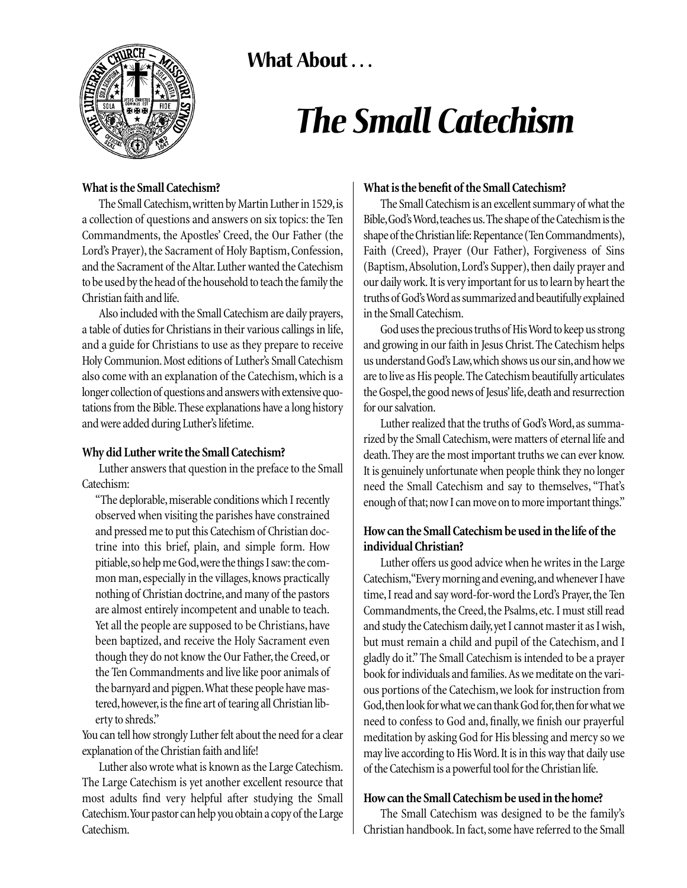What About ...



# *The Small Catechism*

### **What is the Small Catechism?**

The Small Catechism, written by Martin Luther in 1529, is a collection of questions and answers on six topics: the Ten Commandments, the Apostles' Creed, the Our Father (the Lord's Prayer), the Sacrament of Holy Baptism, Confession, and the Sacrament of the Altar.Luther wanted the Catechism to be used by the head of the household to teach the family the Christian faith and life.

Also included with the Small Catechism are daily prayers, a table of duties for Christians in their various callings in life, and a guide for Christians to use as they prepare to receive Holy Communion.Most editions of Luther's Small Catechism also come with an explanation of the Catechism, which is a longer collection of questions and answers with extensive quotations from the Bible.These explanations have a long history and were added during Luther's lifetime.

### **Why did Luther write the Small Catechism?**

Luther answers that question in the preface to the Small Catechism:

"The deplorable, miserable conditions which I recently observed when visiting the parishes have constrained and pressed me to put this Catechism of Christian doctrine into this brief, plain, and simple form. How pitiable, so help me God, were the things I saw: the common man, especially in the villages, knows practically nothing of Christian doctrine, and many of the pastors are almost entirely incompetent and unable to teach. Yet all the people are supposed to be Christians, have been baptized, and receive the Holy Sacrament even though they do not know the Our Father, the Creed, or the Ten Commandments and live like poor animals of the barnyard and pigpen.What these people have mastered, however, is the fine art of tearing all Christian liberty to shreds."

You can tell how strongly Luther felt about the need for a clear explanation of the Christian faith and life!

Luther also wrote what is known as the Large Catechism. The Large Catechism is yet another excellent resource that most adults find very helpful after studying the Small Catechism.Your pastor can help you obtain a copy of the Large Catechism.

#### **What is the benefit of the Small Catechism?**

The Small Catechism is an excellent summary of what the Bible, God's Word, teaches us. The shape of the Catechism is the shape of the Christian life: Repentance (Ten Commandments), Faith (Creed), Prayer (Our Father), Forgiveness of Sins (Baptism,Absolution, Lord's Supper), then daily prayer and our daily work. It is very important for us to learn by heart the truths of God's Word as summarized and beautifully explained in the Small Catechism.

God uses the precious truths of His Word to keep us strong and growing in our faith in Jesus Christ.The Catechism helps us understand God's Law,which shows us our sin,and how we are to live as His people.The Catechism beautifully articulates the Gospel, the good news of Jesus'life, death and resurrection for our salvation.

Luther realized that the truths of God's Word, as summarized by the Small Catechism, were matters of eternal life and death.They are the most important truths we can ever know. It is genuinely unfortunate when people think they no longer need the Small Catechism and say to themselves, "That's enough of that; now I can move on to more important things."

## **How can the Small Catechism be used in the life of the individual Christian?**

Luther offers us good advice when he writes in the Large Catechism,"Every morning and evening,and whenever I have time, I read and say word-for-word the Lord's Prayer, the Ten Commandments, the Creed, the Psalms, etc. I must still read and study the Catechism daily,yet I cannot master it as I wish, but must remain a child and pupil of the Catechism, and I gladly do it." The Small Catechism is intended to be a prayer book for individuals and families.As we meditate on the various portions of the Catechism, we look for instruction from God, then look for what we can thank God for, then for what we need to confess to God and, finally, we finish our prayerful meditation by asking God for His blessing and mercy so we may live according to His Word.It is in this way that daily use of the Catechism is a powerful tool for the Christian life.

### **How can the Small Catechism be used in the home?**

The Small Catechism was designed to be the family's Christian handbook.In fact, some have referred to the Small